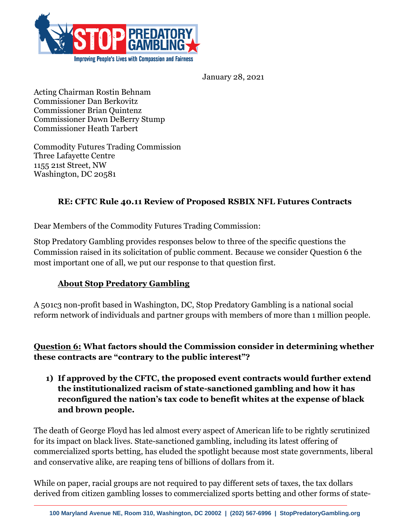

January 28, 2021

Acting Chairman Rostin Behnam Commissioner Dan Berkovitz Commissioner Brian Quintenz Commissioner Dawn DeBerry Stump Commissioner Heath Tarbert

Commodity Futures Trading Commission Three Lafayette Centre 1155 21st Street, NW Washington, DC 20581

#### **RE: CFTC Rule 40.11 Review of Proposed RSBIX NFL Futures Contracts**

Dear Members of the Commodity Futures Trading Commission:

Stop Predatory Gambling provides responses below to three of the specific questions the Commission raised in its solicitation of public comment. Because we consider Question 6 the most important one of all, we put our response to that question first.

#### **About Stop Predatory Gambling**

A 501c3 non-profit based in Washington, DC, Stop Predatory Gambling is a national social reform network of individuals and partner groups with members of more than 1 million people.

#### **Question 6: What factors should the Commission consider in determining whether these contracts are "contrary to the public interest"?**

**1) If approved by the CFTC, the proposed event contracts would further extend the institutionalized racism of state-sanctioned gambling and how it has reconfigured the nation's tax code to benefit whites at the expense of black and brown people.**

The death of George Floyd has led almost every aspect of American life to be rightly scrutinized for its impact on black lives. State-sanctioned gambling, including its latest offering of commercialized sports betting, has eluded the spotlight because most state governments, liberal and conservative alike, are reaping tens of billions of dollars from it.

While on paper, racial groups are not required to pay different sets of taxes, the tax dollars derived from citizen gambling losses to commercialized sports betting and other forms of state-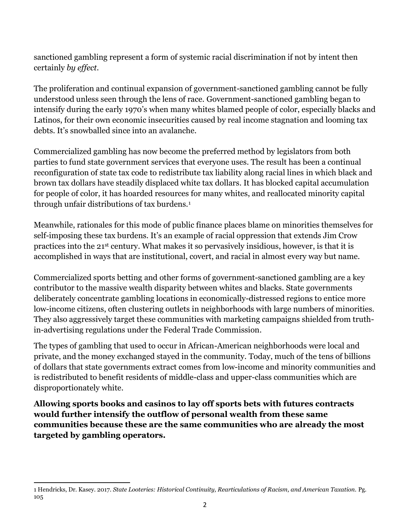sanctioned gambling represent a form of systemic racial discrimination if not by intent then certainly *by effect.*

The proliferation and continual expansion of government-sanctioned gambling cannot be fully understood unless seen through the lens of race. Government-sanctioned gambling began to intensify during the early 1970's when many whites blamed people of color, especially blacks and Latinos, for their own economic insecurities caused by real income stagnation and looming tax debts. It's snowballed since into an avalanche.

Commercialized gambling has now become the preferred method by legislators from both parties to fund state government services that everyone uses. The result has been a continual reconfiguration of state tax code to redistribute tax liability along racial lines in which black and brown tax dollars have steadily displaced white tax dollars. It has blocked capital accumulation for people of color, it has hoarded resources for many whites, and reallocated minority capital through unfair distributions of tax burdens.<sup>1</sup>

Meanwhile, rationales for this mode of public finance places blame on minorities themselves for self-imposing these tax burdens. It's an example of racial oppression that extends Jim Crow practices into the 21st century. What makes it so pervasively insidious, however, is that it is accomplished in ways that are institutional, covert, and racial in almost every way but name.

Commercialized sports betting and other forms of government-sanctioned gambling are a key contributor to the massive wealth disparity between whites and blacks. State governments deliberately concentrate gambling locations in economically-distressed regions to entice more low-income citizens, often clustering outlets in neighborhoods with large numbers of minorities. They also aggressively target these communities with marketing campaigns shielded from truthin-advertising regulations under the Federal Trade Commission.

The types of gambling that used to occur in African-American neighborhoods were local and private, and the money exchanged stayed in the community. Today, much of the tens of billions of dollars that state governments extract comes from low-income and minority communities and is redistributed to benefit residents of middle-class and upper-class communities which are disproportionately white.

**Allowing sports books and casinos to lay off sports bets with futures contracts would further intensify the outflow of personal wealth from these same communities because these are the same communities who are already the most targeted by gambling operators.** 

<sup>1</sup> 1 Hendricks, Dr. Kasey. 2017. *State Looteries: Historical Continuity, Rearticulations of Racism, and American Taxation.* Pg. 105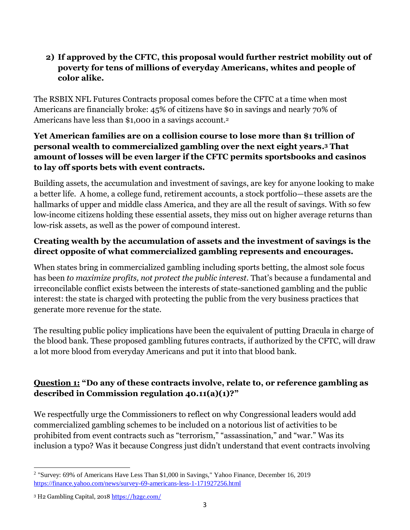### **2) If approved by the CFTC, this proposal would further restrict mobility out of poverty for tens of millions of everyday Americans, whites and people of color alike.**

The RSBIX NFL Futures Contracts proposal comes before the CFTC at a time when most Americans are financially broke: 45% of citizens have \$0 in savings and nearly 70% of Americans have less than \$1,000 in a savings account. 2

### **Yet American families are on a collision course to lose more than \$1 trillion of personal wealth to commercialized gambling over the next eight years. <sup>3</sup> That amount of losses will be even larger if the CFTC permits sportsbooks and casinos to lay off sports bets with event contracts.**

Building assets, the accumulation and investment of savings, are key for anyone looking to make a better life. A home, a college fund, retirement accounts, a stock portfolio—these assets are the hallmarks of upper and middle class America, and they are all the result of savings. With so few low-income citizens holding these essential assets, they miss out on higher average returns than low-risk assets, as well as the power of compound interest.

## **Creating wealth by the accumulation of assets and the investment of savings is the direct opposite of what commercialized gambling represents and encourages.**

When states bring in commercialized gambling including sports betting, the almost sole focus has been *to maximize profits, not protect the public interest*. That's because a fundamental and irreconcilable conflict exists between the interests of state-sanctioned gambling and the public interest: the state is charged with protecting the public from the very business practices that generate more revenue for the state.

The resulting public policy implications have been the equivalent of putting Dracula in charge of the blood bank. These proposed gambling futures contracts, if authorized by the CFTC, will draw a lot more blood from everyday Americans and put it into that blood bank.

# **Question 1: "Do any of these contracts involve, relate to, or reference gambling as described in Commission regulation 40.11(a)(1)?"**

We respectfully urge the Commissioners to reflect on why Congressional leaders would add commercialized gambling schemes to be included on a notorious list of activities to be prohibited from event contracts such as "terrorism," "assassination," and "war." Was its inclusion a typo? Was it because Congress just didn't understand that event contracts involving

 $\overline{a}$ <sup>2</sup> "Survey: 69% of Americans Have Less Than \$1,000 in Savings," Yahoo Finance, December 16, 2019 <https://finance.yahoo.com/news/survey-69-americans-less-1-171927256.html>

<sup>3</sup> H2 Gambling Capital, 201[8 https://h2gc.com/](about:blank)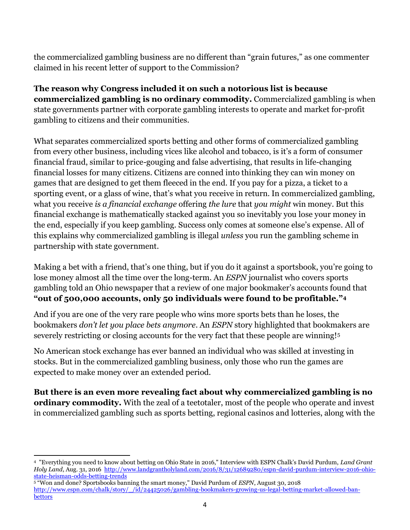the commercialized gambling business are no different than "grain futures," as one commenter claimed in his recent letter of support to the Commission?

**The reason why Congress included it on such a notorious list is because commercialized gambling is no ordinary commodity.** Commercialized gambling is when state governments partner with corporate gambling interests to operate and market for-profit gambling to citizens and their communities.

What separates commercialized sports betting and other forms of commercialized gambling from every other business, including vices like alcohol and tobacco, is it's a form of consumer financial fraud, similar to price-gouging and false advertising, that results in life-changing financial losses for many citizens. Citizens are conned into thinking they can win money on games that are designed to get them fleeced in the end. If you pay for a pizza, a ticket to a sporting event, or a glass of wine, that's what you receive in return. In commercialized gambling, what you receive *is a financial exchange* offering *the lure* that *you might* win money. But this financial exchange is mathematically stacked against you so inevitably you lose your money in the end, especially if you keep gambling. Success only comes at someone else's expense. All of this explains why commercialized gambling is illegal *unless* you run the gambling scheme in partnership with state government.

Making a bet with a friend, that's one thing, but if you do it against a sportsbook, you're going to lose money almost all the time over the long-term. An *ESPN* journalist who covers sports gambling told an Ohio newspaper that a review of one major bookmaker's accounts found that **"out of 500,000 accounts, only 50 individuals were found to be profitable."<sup>4</sup>**

And if you are one of the very rare people who wins more sports bets than he loses, the bookmakers *don't let you place bets anymore*. An *ESPN* story highlighted that bookmakers are severely restricting or closing accounts for the very fact that these people are winning!<sup>5</sup>

No American stock exchange has ever banned an individual who was skilled at investing in stocks. But in the commercialized gambling business, only those who run the games are expected to make money over an extended period.

**But there is an even more revealing fact about why commercialized gambling is no ordinary commodity.** With the zeal of a teetotaler, most of the people who operate and invest in commercialized gambling such as sports betting, regional casinos and lotteries, along with the

 4 "Everything you need to know about betting on Ohio State in 2016," Interview with ESPN Chalk's David Purdum, *Land Grant Holy Land*, Aug. 31, 2016 [http://www.landgrantholyland.com/2016/8/31/12689280/espn-david-purdum-interview-2016-ohio](http://www.landgrantholyland.com/2016/8/31/12689280/espn-david-purdum-interview-2016-ohio-state-heisman-odds-betting-trends)[state-heisman-odds-betting-trends](http://www.landgrantholyland.com/2016/8/31/12689280/espn-david-purdum-interview-2016-ohio-state-heisman-odds-betting-trends)

<sup>5</sup> "Won and done? Sportsbooks banning the smart money," David Purdum of *ESPN*, August 30, 2018 [http://www.espn.com/chalk/story/\\_/id/24425026/gambling-bookmakers-growing-us-legal-betting-market-allowed-ban](http://www.espn.com/chalk/story/_/id/24425026/gambling-bookmakers-growing-us-legal-betting-market-allowed-ban-bettors)[bettors](http://www.espn.com/chalk/story/_/id/24425026/gambling-bookmakers-growing-us-legal-betting-market-allowed-ban-bettors)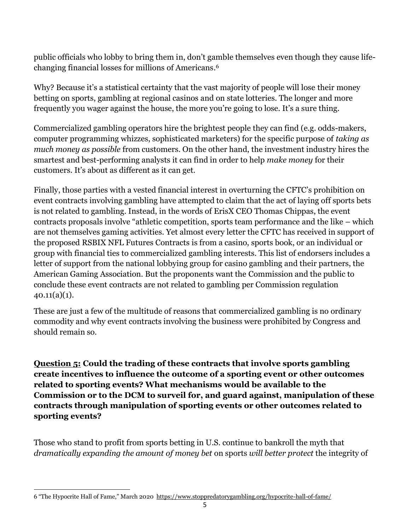public officials who lobby to bring them in, don't gamble themselves even though they cause lifechanging financial losses for millions of Americans. 6

Why? Because it's a statistical certainty that the vast majority of people will lose their money betting on sports, gambling at regional casinos and on state lotteries. The longer and more frequently you wager against the house, the more you're going to lose. It's a sure thing.

Commercialized gambling operators hire the brightest people they can find (e.g. odds-makers, computer programming whizzes, sophisticated marketers) for the specific purpose of *taking as much money as possible* from customers. On the other hand, the investment industry hires the smartest and best-performing analysts it can find in order to help *make money* for their customers. It's about as different as it can get.

Finally, those parties with a vested financial interest in overturning the CFTC's prohibition on event contracts involving gambling have attempted to claim that the act of laying off sports bets is not related to gambling. Instead, in the words of ErisX CEO Thomas Chippas, the event contracts proposals involve "athletic competition, sports team performance and the like – which are not themselves gaming activities. Yet almost every letter the CFTC has received in support of the proposed RSBIX NFL Futures Contracts is from a casino, sports book, or an individual or group with financial ties to commercialized gambling interests. This list of endorsers includes a letter of support from the national lobbying group for casino gambling and their partners, the American Gaming Association. But the proponents want the Commission and the public to conclude these event contracts are not related to gambling per Commission regulation  $40.11(a)(1)$ .

These are just a few of the multitude of reasons that commercialized gambling is no ordinary commodity and why event contracts involving the business were prohibited by Congress and should remain so.

**Question 5: Could the trading of these contracts that involve sports gambling create incentives to influence the outcome of a sporting event or other outcomes related to sporting events? What mechanisms would be available to the Commission or to the DCM to surveil for, and guard against, manipulation of these contracts through manipulation of sporting events or other outcomes related to sporting events?**

Those who stand to profit from sports betting in U.S. continue to bankroll the myth that *dramatically expanding the amount of money bet* on sports *will better protect* the integrity of

<sup>1</sup> 6 "The Hypocrite Hall of Fame," March 2020<https://www.stoppredatorygambling.org/hypocrite-hall-of-fame/>